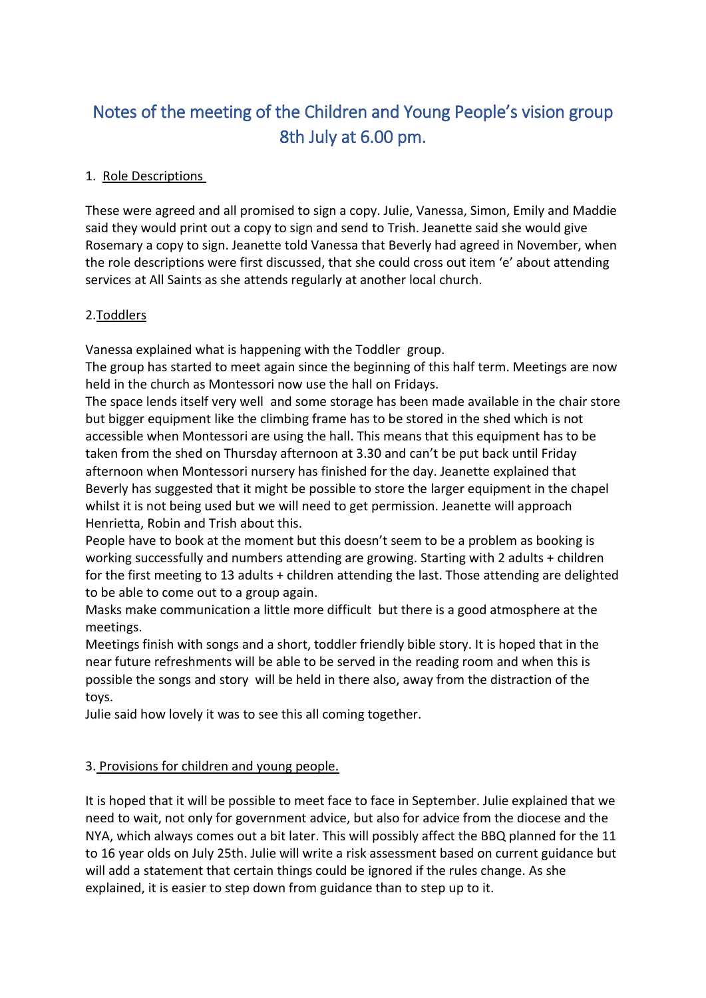# Notes of the meeting of the Children and Young People's vision group 8th July at 6.00 pm.

### 1. Role Descriptions

These were agreed and all promised to sign a copy. Julie, Vanessa, Simon, Emily and Maddie said they would print out a copy to sign and send to Trish. Jeanette said she would give Rosemary a copy to sign. Jeanette told Vanessa that Beverly had agreed in November, when the role descriptions were first discussed, that she could cross out item 'e' about attending services at All Saints as she attends regularly at another local church.

#### 2.Toddlers

Vanessa explained what is happening with the Toddler group.

The group has started to meet again since the beginning of this half term. Meetings are now held in the church as Montessori now use the hall on Fridays.

The space lends itself very well and some storage has been made available in the chair store but bigger equipment like the climbing frame has to be stored in the shed which is not accessible when Montessori are using the hall. This means that this equipment has to be taken from the shed on Thursday afternoon at 3.30 and can't be put back until Friday afternoon when Montessori nursery has finished for the day. Jeanette explained that Beverly has suggested that it might be possible to store the larger equipment in the chapel whilst it is not being used but we will need to get permission. Jeanette will approach Henrietta, Robin and Trish about this.

People have to book at the moment but this doesn't seem to be a problem as booking is working successfully and numbers attending are growing. Starting with 2 adults + children for the first meeting to 13 adults + children attending the last. Those attending are delighted to be able to come out to a group again.

Masks make communication a little more difficult but there is a good atmosphere at the meetings.

Meetings finish with songs and a short, toddler friendly bible story. It is hoped that in the near future refreshments will be able to be served in the reading room and when this is possible the songs and story will be held in there also, away from the distraction of the toys.

Julie said how lovely it was to see this all coming together.

#### 3. Provisions for children and young people.

It is hoped that it will be possible to meet face to face in September. Julie explained that we need to wait, not only for government advice, but also for advice from the diocese and the NYA, which always comes out a bit later. This will possibly affect the BBQ planned for the 11 to 16 year olds on July 25th. Julie will write a risk assessment based on current guidance but will add a statement that certain things could be ignored if the rules change. As she explained, it is easier to step down from guidance than to step up to it.